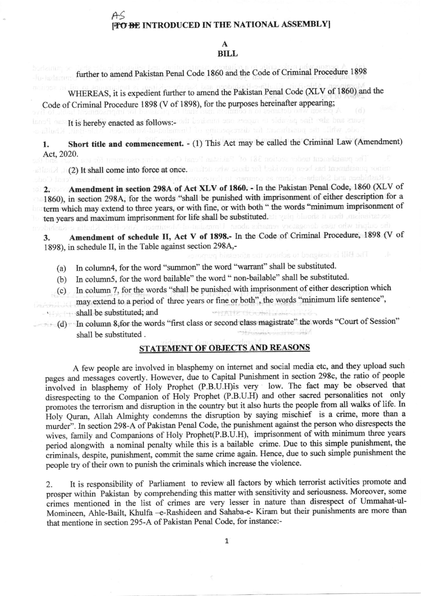## [<del>TO BE</del> INTRODUCED IN THE NATIONAL ASSEMBLY]

## A BILL

frrther to amend Pakistan Penal Code 1860 and the Code of Criminal Procedure <sup>1898</sup>

WHEREAS, it is expedient further to amend the Pakistan Penal Code (XLV of 1860) and the Code of Criminal Procedure 1898 (V of 1898), for the purposes hereinafter appearing;

Inno Tensile in the payable to upces one hadrest thousand and set of the payable in the payable in the payable<br>Code, while the pushment for disconserved line and the payable in the payable is kindly to be payable in the p

1. Short title and commencement. - (1) This Act may be called the Criminal Law (Amendment) Act,2020.

allude) (2) It shall come into force at once. who define a discussion and label  $(2)$  it, Khalifa<br>chashideen and Sahaba-e-Kiram as compare to that provided in section 293-a of Pakasan Penald Code

2. Amendment in section 298A of Act XLV of 1860. - In the Pakistan Penal Code, 1860 (XLV of 1860), in section 298A, for the words "shall be punished with imprisonment of either description for a term which may extend to three years, or with fine, or with both " the words "minimum imprisonment of ten years and maximum imprisonment for life shall be substituted. all yelo blueda it useful mainstreament of the<br>the state of the studies of the state of the state of the state of the state of the state of the state of the

3. Amendment of schedule II, Act V of 1898.- In the Code of Criminal Procedure, 1898 (V of 1898), in schedule II, in the Table against section 298A,-<br>second binary binary of the set of boundary in the said

- (a) ln column4, for the word "summon" the word "warrant" shall be substituted.
- (b) In column5, for the word bailable" the word " non-bailable" shall be substituted
- (c) In column 7, for the words 'shall be punished with imprisonment of either description which
- may extend to a period of three years or fine or both", the words "minimum life sentence", shall be substituted; and WHATER TEN HOLLAND

(d) ln column 8,for the words "first class or second class magistrale" the words "Court of Session" shall be substituted .

## STATEMENT OF OBJECTS AND REASONS

A few people are involved in blasphemy on intemet and social media etc, and they upload such pages and messages covertly. However, due to Capital Punishment in section 298c, the ratio of people involved in blasphemy of Holy Prophet (P.B.U.H)is very low. The fact may be observed that disrespecting to the Companion of Holy Prophet (P.B.U.H) and other sacred personalities not only promotes the terrorism and disruption in the country but it also hurts the people from all walks of life. In Holy Quran, Allah Almighty condemns the disruption by saying mischief is a crime, more than a murder". In section 298-A of Pakistan Penal Code, the punishment against the person who disrespects the wives, family and Companions of Holy Prophet(P.B.U.H), imprisonment of with minimum three years period alongwith a nominal penalty while this is a bailable crime. Due to this simple punishment, the criminals, despite, punishment, commit the same crime again. Hence, due to such simple punishment the people try of their own to punish the criminals which increase the violence.

Z. It is responsibility of Parliament to review all factors by which terrorist activities promote and prosper within Pakistan by comprehending this matter with sensitivity and seriousness. Moreover, some crimes mentioned in the list of crimes are very lesser in nature than disrespect of Ummahat-ul-Momineen, Ahle-Bailt, Khulfa -e-Rashideen and Sahaba-e- Kiram but their punishments are more than that mentione in section 295-4 of Pakistan Penal Code, for instance:-